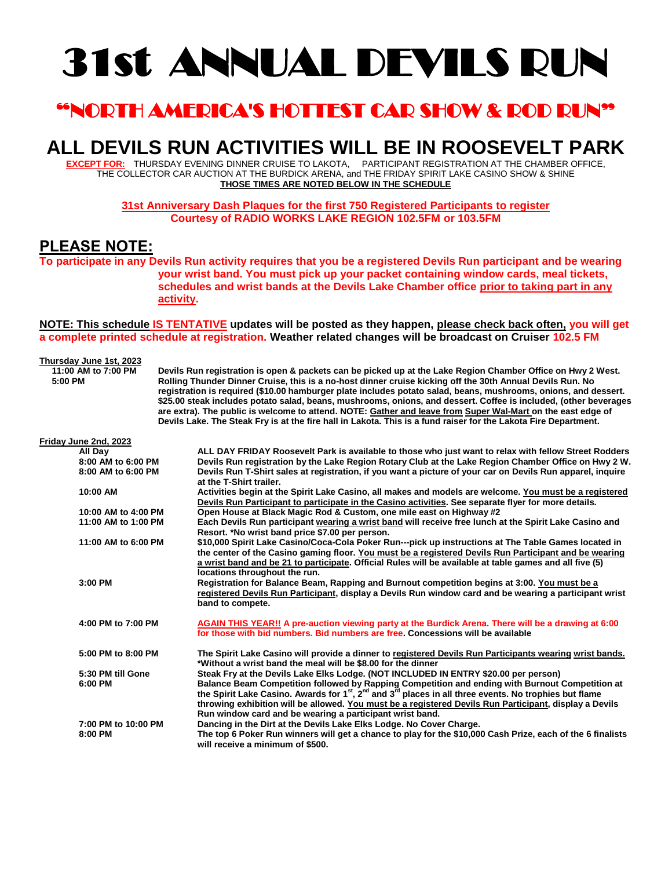# 31st ANNUAL DEVILS RUN

## "NORTH AMERICA'S HOTTEST CAR SHOW & ROD RUN"

## **ALL DEVILS RUN ACTIVITIES WILL BE IN ROOSEVELT PARK**

**EXCEPT FOR:** THURSDAY EVENING DINNER CRUISE TO LAKOTA, PARTICIPANT REGISTRATION AT THE CHAMBER OFFICE, THE COLLECTOR CAR AUCTION AT THE BURDICK ARENA, and THE FRIDAY SPIRIT LAKE CASINO SHOW & SHINE **THOSE TIMES ARE NOTED BELOW IN THE SCHEDULE**

> **31st Anniversary Dash Plaques for the first 750 Registered Participants to register Courtesy of RADIO WORKS LAKE REGION 102.5FM or 103.5FM**

#### **PLEASE NOTE:**

**To participate in any Devils Run activity requires that you be a registered Devils Run participant and be wearing your wrist band. You must pick up your packet containing window cards, meal tickets, schedules and wrist bands at the Devils Lake Chamber office prior to taking part in any activity.** 

**NOTE: This schedule IS TENTATIVE updates will be posted as they happen, please check back often, you will get a complete printed schedule at registration. Weather related changes will be broadcast on Cruiser 102.5 FM**

### **Thursday June 1st, 2023**

 **11:00 AM to 7:00 PM Devils Run registration is open & packets can be picked up at the Lake Region Chamber Office on Hwy 2 West. 5:00 PM Rolling Thunder Dinner Cruise, this is a no-host dinner cruise kicking off the 30th Annual Devils Run. No registration is required (\$10.00 hamburger plate includes potato salad, beans, mushrooms, onions, and dessert. \$25.00 steak includes potato salad, beans, mushrooms, onions, and dessert. Coffee is included, (other beverages are extra). The public is welcome to attend. NOTE: Gather and leave from Super Wal-Mart on the east edge of Devils Lake. The Steak Fry is at the fire hall in Lakota. This is a fund raiser for the Lakota Fire Department.**

| Friday June 2nd, 2023 |                                                                                                                       |
|-----------------------|-----------------------------------------------------------------------------------------------------------------------|
| All Day               | ALL DAY FRIDAY Roosevelt Park is available to those who just want to relax with fellow Street Rodders                 |
| 8:00 AM to 6:00 PM    | Devils Run registration by the Lake Region Rotary Club at the Lake Region Chamber Office on Hwy 2 W.                  |
| 8:00 AM to 6:00 PM    | Devils Run T-Shirt sales at registration, if you want a picture of your car on Devils Run apparel, inquire            |
|                       | at the T-Shirt trailer.                                                                                               |
| 10:00 AM              | Activities begin at the Spirit Lake Casino, all makes and models are welcome. You must be a registered                |
|                       | Devils Run Participant to participate in the Casino activities. See separate flyer for more details.                  |
| 10:00 AM to 4:00 PM   | Open House at Black Magic Rod & Custom, one mile east on Highway #2                                                   |
| 11:00 AM to 1:00 PM   | Each Devils Run participant wearing a wrist band will receive free lunch at the Spirit Lake Casino and                |
|                       | Resort. *No wrist band price \$7.00 per person.                                                                       |
| 11:00 AM to 6:00 PM   | \$10,000 Spirit Lake Casino/Coca-Cola Poker Run---pick up instructions at The Table Games located in                  |
|                       | the center of the Casino gaming floor. You must be a registered Devils Run Participant and be wearing                 |
|                       | a wrist band and be 21 to participate. Official Rules will be available at table games and all five (5)               |
|                       | locations throughout the run.                                                                                         |
| 3:00 PM               | Registration for Balance Beam, Rapping and Burnout competition begins at 3:00. You must be a                          |
|                       | registered Devils Run Participant, display a Devils Run window card and be wearing a participant wrist                |
|                       | band to compete.                                                                                                      |
| 4:00 PM to 7:00 PM    | AGAIN THIS YEAR!! A pre-auction viewing party at the Burdick Arena. There will be a drawing at 6:00                   |
|                       | for those with bid numbers. Bid numbers are free. Concessions will be available                                       |
| 5:00 PM to 8:00 PM    | The Spirit Lake Casino will provide a dinner to registered Devils Run Participants wearing wrist bands.               |
|                       | *Without a wrist band the meal will be \$8.00 for the dinner                                                          |
| 5:30 PM till Gone     | Steak Fry at the Devils Lake Elks Lodge. (NOT INCLUDED IN ENTRY \$20.00 per person)                                   |
| 6:00 PM               | Balance Beam Competition followed by Rapping Competition and ending with Burnout Competition at                       |
|                       | the Spirit Lake Casino. Awards for $1^{st}$ , $2^{nd}$ and $3^{rd}$ places in all three events. No trophies but flame |
|                       | throwing exhibition will be allowed. You must be a registered Devils Run Participant, display a Devils                |
|                       | Run window card and be wearing a participant wrist band.                                                              |
| 7:00 PM to 10:00 PM   | Dancing in the Dirt at the Devils Lake Elks Lodge. No Cover Charge.                                                   |
| 8:00 PM               | The top 6 Poker Run winners will get a chance to play for the \$10,000 Cash Prize, each of the 6 finalists            |
|                       | will receive a minimum of \$500.                                                                                      |